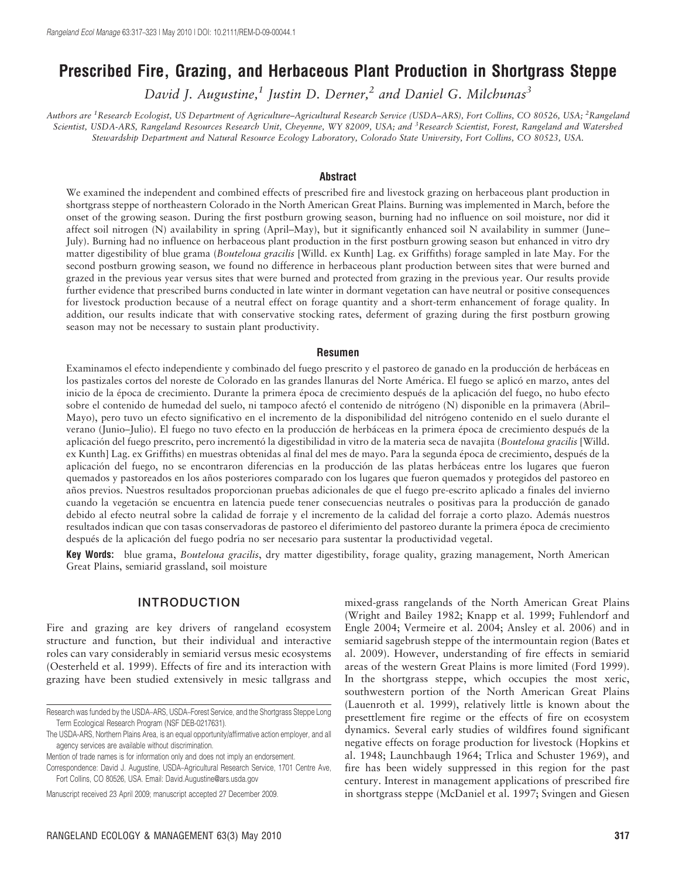# Prescribed Fire, Grazing, and Herbaceous Plant Production in Shortgrass Steppe

David J. Augustine,<sup>1</sup> Justin D. Derner,<sup>2</sup> and Daniel G. Milchunas<sup>3</sup>

Authors are <sup>1</sup>Research Ecologist, US Department of Agriculture–Agricultural Research Service (USDA–ARS), Fort Collins, CO 80526, USA; <sup>2</sup>Rangeland Scientist, USDA-ARS, Rangeland Resources Research Unit, Cheyenne, WY 82009, USA; and <sup>3</sup>Research Scientist, Forest, Rangeland and Watershed Stewardship Department and Natural Resource Ecology Laboratory, Colorado State University, Fort Collins, CO 80523, USA.

#### **Abstract**

We examined the independent and combined effects of prescribed fire and livestock grazing on herbaceous plant production in shortgrass steppe of northeastern Colorado in the North American Great Plains. Burning was implemented in March, before the onset of the growing season. During the first postburn growing season, burning had no influence on soil moisture, nor did it affect soil nitrogen (N) availability in spring (April–May), but it significantly enhanced soil N availability in summer (June– July). Burning had no influence on herbaceous plant production in the first postburn growing season but enhanced in vitro dry matter digestibility of blue grama (Bouteloua gracilis [Willd. ex Kunth] Lag. ex Griffiths) forage sampled in late May. For the second postburn growing season, we found no difference in herbaceous plant production between sites that were burned and grazed in the previous year versus sites that were burned and protected from grazing in the previous year. Our results provide further evidence that prescribed burns conducted in late winter in dormant vegetation can have neutral or positive consequences for livestock production because of a neutral effect on forage quantity and a short-term enhancement of forage quality. In addition, our results indicate that with conservative stocking rates, deferment of grazing during the first postburn growing season may not be necessary to sustain plant productivity.

#### Resumen

Examinamos el efecto independiente y combinado del fuego prescrito y el pastoreo de ganado en la producción de herbáceas en los pastizales cortos del noreste de Colorado en las grandes llanuras del Norte América. El fuego se aplicó en marzo, antes del inicio de la época de crecimiento. Durante la primera época de crecimiento después de la aplicación del fuego, no hubo efecto sobre el contenido de humedad del suelo, ni tampoco afectó el contenido de nitrógeno (N) disponible en la primavera (Abril-Mayo), pero tuvo un efecto significativo en el incremento de la disponibilidad del nitrógeno contenido en el suelo durante el verano (Junio–Julio). El fuego no tuvo efecto en la producción de herbáceas en la primera época de crecimiento después de la aplicación del fuego prescrito, pero incrementó la digestibilidad in vitro de la materia seca de navajita (Bouteloua gracilis [Willd. ex Kunth] Lag. ex Griffiths) en muestras obtenidas al final del mes de mayo. Para la segunda época de crecimiento, después de la aplicación del fuego, no se encontraron diferencias en la producción de las platas herbáceas entre los lugares que fueron quemados y pastoreados en los años posteriores comparado con los lugares que fueron quemados y protegidos del pastoreo en años previos. Nuestros resultados proporcionan pruebas adicionales de que el fuego pre-escrito aplicado a finales del invierno cuando la vegetación se encuentra en latencia puede tener consecuencias neutrales o positivas para la producción de ganado debido al efecto neutral sobre la calidad de forraje y el incremento de la calidad del forraje a corto plazo. Además nuestros resultados indican que con tasas conservadoras de pastoreo el diferimiento del pastoreo durante la primera época de crecimiento después de la aplicación del fuego podría no ser necesario para sustentar la productividad vegetal.

Key Words: blue grama, Bouteloua gracilis, dry matter digestibility, forage quality, grazing management, North American Great Plains, semiarid grassland, soil moisture

### INTRODUCTION

Fire and grazing are key drivers of rangeland ecosystem structure and function, but their individual and interactive roles can vary considerably in semiarid versus mesic ecosystems (Oesterheld et al. 1999). Effects of fire and its interaction with grazing have been studied extensively in mesic tallgrass and

mixed-grass rangelands of the North American Great Plains (Wright and Bailey 1982; Knapp et al. 1999; Fuhlendorf and Engle 2004; Vermeire et al. 2004; Ansley et al. 2006) and in semiarid sagebrush steppe of the intermountain region (Bates et al. 2009). However, understanding of fire effects in semiarid areas of the western Great Plains is more limited (Ford 1999). In the shortgrass steppe, which occupies the most xeric, southwestern portion of the North American Great Plains (Lauenroth et al. 1999), relatively little is known about the presettlement fire regime or the effects of fire on ecosystem dynamics. Several early studies of wildfires found significant negative effects on forage production for livestock (Hopkins et al. 1948; Launchbaugh 1964; Trlica and Schuster 1969), and fire has been widely suppressed in this region for the past century. Interest in management applications of prescribed fire in shortgrass steppe (McDaniel et al. 1997; Svingen and Giesen

Research was funded by the USDA–ARS, USDA–Forest Service, and the Shortgrass Steppe Long Term Ecological Research Program (NSF DEB-0217631).

The USDA-ARS, Northern Plains Area, is an equal opportunity/affirmative action employer, and all agency services are available without discrimination.

Mention of trade names is for information only and does not imply an endorsement.

Correspondence: David J. Augustine, USDA–Agricultural Research Service, 1701 Centre Ave, Fort Collins, CO 80526, USA. Email: David.Augustine@ars.usda.gov

Manuscript received 23 April 2009; manuscript accepted 27 December 2009.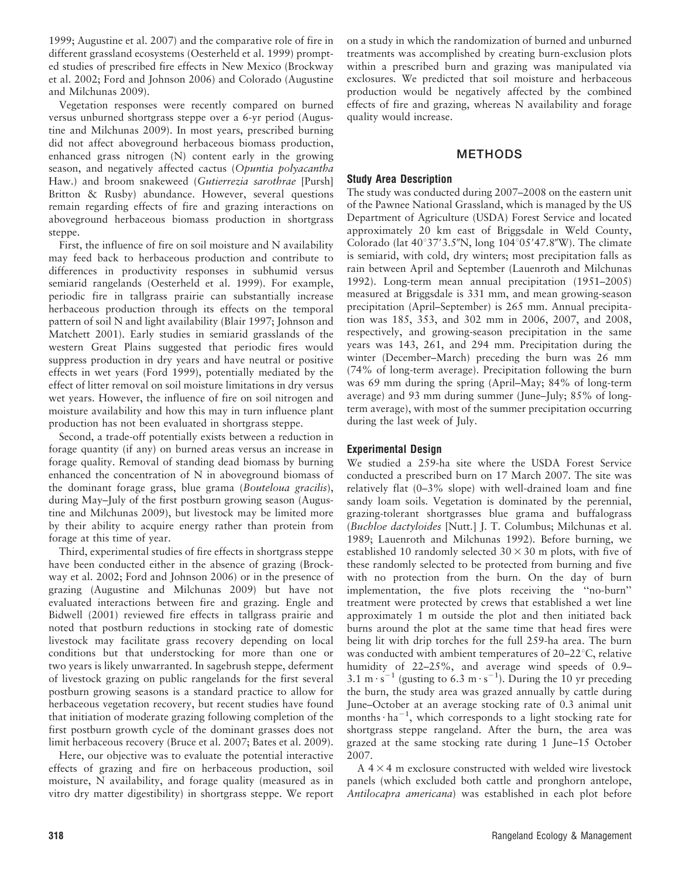1999; Augustine et al. 2007) and the comparative role of fire in different grassland ecosystems (Oesterheld et al. 1999) prompted studies of prescribed fire effects in New Mexico (Brockway et al. 2002; Ford and Johnson 2006) and Colorado (Augustine and Milchunas 2009).

Vegetation responses were recently compared on burned versus unburned shortgrass steppe over a 6-yr period (Augustine and Milchunas 2009). In most years, prescribed burning did not affect aboveground herbaceous biomass production, enhanced grass nitrogen (N) content early in the growing season, and negatively affected cactus (Opuntia polyacantha Haw.) and broom snakeweed (Gutierrezia sarothrae [Pursh] Britton & Rusby) abundance. However, several questions remain regarding effects of fire and grazing interactions on aboveground herbaceous biomass production in shortgrass steppe.

First, the influence of fire on soil moisture and N availability may feed back to herbaceous production and contribute to differences in productivity responses in subhumid versus semiarid rangelands (Oesterheld et al. 1999). For example, periodic fire in tallgrass prairie can substantially increase herbaceous production through its effects on the temporal pattern of soil N and light availability (Blair 1997; Johnson and Matchett 2001). Early studies in semiarid grasslands of the western Great Plains suggested that periodic fires would suppress production in dry years and have neutral or positive effects in wet years (Ford 1999), potentially mediated by the effect of litter removal on soil moisture limitations in dry versus wet years. However, the influence of fire on soil nitrogen and moisture availability and how this may in turn influence plant production has not been evaluated in shortgrass steppe.

Second, a trade-off potentially exists between a reduction in forage quantity (if any) on burned areas versus an increase in forage quality. Removal of standing dead biomass by burning enhanced the concentration of N in aboveground biomass of the dominant forage grass, blue grama (Bouteloua gracilis), during May–July of the first postburn growing season (Augustine and Milchunas 2009), but livestock may be limited more by their ability to acquire energy rather than protein from forage at this time of year.

Third, experimental studies of fire effects in shortgrass steppe have been conducted either in the absence of grazing (Brockway et al. 2002; Ford and Johnson 2006) or in the presence of grazing (Augustine and Milchunas 2009) but have not evaluated interactions between fire and grazing. Engle and Bidwell (2001) reviewed fire effects in tallgrass prairie and noted that postburn reductions in stocking rate of domestic livestock may facilitate grass recovery depending on local conditions but that understocking for more than one or two years is likely unwarranted. In sagebrush steppe, deferment of livestock grazing on public rangelands for the first several postburn growing seasons is a standard practice to allow for herbaceous vegetation recovery, but recent studies have found that initiation of moderate grazing following completion of the first postburn growth cycle of the dominant grasses does not limit herbaceous recovery (Bruce et al. 2007; Bates et al. 2009).

Here, our objective was to evaluate the potential interactive effects of grazing and fire on herbaceous production, soil moisture, N availability, and forage quality (measured as in vitro dry matter digestibility) in shortgrass steppe. We report on a study in which the randomization of burned and unburned treatments was accomplished by creating burn-exclusion plots within a prescribed burn and grazing was manipulated via exclosures. We predicted that soil moisture and herbaceous production would be negatively affected by the combined effects of fire and grazing, whereas N availability and forage quality would increase.

### METHODS

### Study Area Description

The study was conducted during 2007–2008 on the eastern unit of the Pawnee National Grassland, which is managed by the US Department of Agriculture (USDA) Forest Service and located approximately 20 km east of Briggsdale in Weld County, Colorado (lat  $40^{\circ}37'3.5''N$ , long  $104^{\circ}05'47.8''W$ ). The climate is semiarid, with cold, dry winters; most precipitation falls as rain between April and September (Lauenroth and Milchunas 1992). Long-term mean annual precipitation (1951–2005) measured at Briggsdale is 331 mm, and mean growing-season precipitation (April–September) is 265 mm. Annual precipitation was 185, 353, and 302 mm in 2006, 2007, and 2008, respectively, and growing-season precipitation in the same years was 143, 261, and 294 mm. Precipitation during the winter (December–March) preceding the burn was 26 mm (74% of long-term average). Precipitation following the burn was 69 mm during the spring (April–May; 84% of long-term average) and 93 mm during summer (June–July; 85% of longterm average), with most of the summer precipitation occurring during the last week of July.

# Experimental Design

We studied a 259-ha site where the USDA Forest Service conducted a prescribed burn on 17 March 2007. The site was relatively flat (0–3% slope) with well-drained loam and fine sandy loam soils. Vegetation is dominated by the perennial, grazing-tolerant shortgrasses blue grama and buffalograss (Buchloe dactyloides [Nutt.] J. T. Columbus; Milchunas et al. 1989; Lauenroth and Milchunas 1992). Before burning, we established 10 randomly selected  $30 \times 30$  m plots, with five of these randomly selected to be protected from burning and five with no protection from the burn. On the day of burn implementation, the five plots receiving the ''no-burn'' treatment were protected by crews that established a wet line approximately 1 m outside the plot and then initiated back burns around the plot at the same time that head fires were being lit with drip torches for the full 259-ha area. The burn was conducted with ambient temperatures of  $20-22^{\circ}$ C, relative humidity of 22–25%, and average wind speeds of 0.9– 3.1 m $\cdot$  s<sup>-1</sup> (gusting to 6.3 m $\cdot$  s<sup>-1</sup>). During the 10 yr preceding the burn, the study area was grazed annually by cattle during June–October at an average stocking rate of 0.3 animal unit months $\cdot$  ha<sup>-1</sup>, which corresponds to a light stocking rate for shortgrass steppe rangeland. After the burn, the area was grazed at the same stocking rate during 1 June–15 October 2007.

 $A$  4  $\times$  4 m exclosure constructed with welded wire livestock panels (which excluded both cattle and pronghorn antelope, Antilocapra americana) was established in each plot before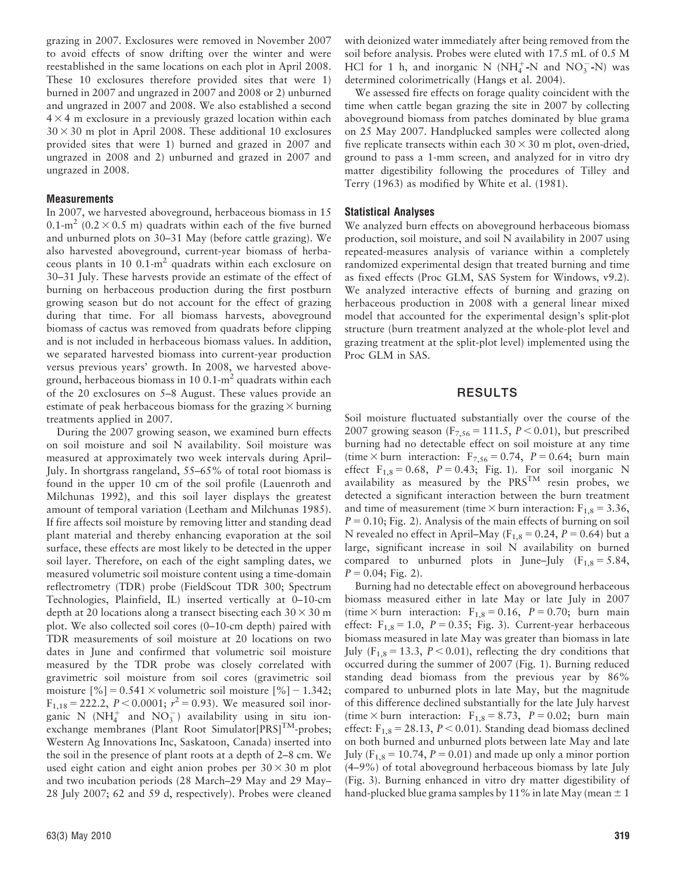grazing in 2007. Exclosures were removed in November 2007 to avoid effects of snow drifting over the winter and were reestablished in the same locations on each plot in April 2008. These 10 exclosures therefore provided sites that were 1) burned in 2007 and ungrazed in 2007 and 2008 or 2) unburned and ungrazed in 2007 and 2008. We also established a second  $4 \times 4$  m exclosure in a previously grazed location within each  $30 \times 30$  m plot in April 2008. These additional 10 exclosures provided sites that were 1) burned and grazed in 2007 and ungrazed in 2008 and 2) unburned and grazed in 2007 and ungrazed in 2008.

#### **Measurements**

In 2007, we harvested aboveground, herbaceous biomass in 15 0.1-m<sup>2</sup> (0.2  $\times$  0.5 m) quadrats within each of the five burned and unburned plots on 30–31 May (before cattle grazing). We also harvested aboveground, current-year biomass of herbaceous plants in 10  $0.1 \text{ m}^2$  quadrats within each exclosure on 30–31 July. These harvests provide an estimate of the effect of burning on herbaceous production during the first postburn growing season but do not account for the effect of grazing during that time. For all biomass harvests, aboveground biomass of cactus was removed from quadrats before clipping and is not included in herbaceous biomass values. In addition, we separated harvested biomass into current-year production versus previous years' growth. In 2008, we harvested aboveground, herbaceous biomass in 10 0.1- $m^2$  quadrats within each of the 20 exclosures on 5–8 August. These values provide an estimate of peak herbaceous biomass for the grazing  $\times$  burning treatments applied in 2007.

During the 2007 growing season, we examined burn effects on soil moisture and soil N availability. Soil moisture was measured at approximately two week intervals during April– July. In shortgrass rangeland, 55–65% of total root biomass is found in the upper 10 cm of the soil profile (Lauenroth and Milchunas 1992), and this soil layer displays the greatest amount of temporal variation (Leetham and Milchunas 1985). If fire affects soil moisture by removing litter and standing dead plant material and thereby enhancing evaporation at the soil surface, these effects are most likely to be detected in the upper soil layer. Therefore, on each of the eight sampling dates, we measured volumetric soil moisture content using a time-domain reflectrometry (TDR) probe (FieldScout TDR 300; Spectrum Technologies, Plainfield, IL) inserted vertically at 0–10-cm depth at 20 locations along a transect bisecting each  $30 \times 30$  m plot. We also collected soil cores (0–10-cm depth) paired with TDR measurements of soil moisture at 20 locations on two dates in June and confirmed that volumetric soil moisture measured by the TDR probe was closely correlated with gravimetric soil moisture from soil cores (gravimetric soil moisture  $[\%] = 0.541 \times$  volumetric soil moisture  $[\%] - 1.342$ ;  $F_{1,18} = 222.2$ ,  $P < 0.0001$ ;  $r^2 = 0.93$ ). We measured soil inorganic N ( $NH_4^+$  and  $NO_3^-$ ) availability using in situ ionexchange membranes (Plant Root Simulator $[PRS]^{\text{TM}}$ -probes; Western Ag Innovations Inc, Saskatoon, Canada) inserted into the soil in the presence of plant roots at a depth of 2–8 cm. We used eight cation and eight anion probes per  $30 \times 30$  m plot and two incubation periods (28 March–29 May and 29 May– 28 July 2007; 62 and 59 d, respectively). Probes were cleaned

with deionized water immediately after being removed from the soil before analysis. Probes were eluted with 17.5 mL of 0.5 M HCl for 1 h, and inorganic N ( $NH_4^+$ -N and  $NO_3^-$ -N) was determined colorimetrically (Hangs et al. 2004).

We assessed fire effects on forage quality coincident with the time when cattle began grazing the site in 2007 by collecting aboveground biomass from patches dominated by blue grama on 25 May 2007. Handplucked samples were collected along five replicate transects within each  $30 \times 30$  m plot, oven-dried, ground to pass a 1-mm screen, and analyzed for in vitro dry matter digestibility following the procedures of Tilley and Terry (1963) as modified by White et al. (1981).

#### Statistical Analyses

We analyzed burn effects on aboveground herbaceous biomass production, soil moisture, and soil N availability in 2007 using repeated-measures analysis of variance within a completely randomized experimental design that treated burning and time as fixed effects (Proc GLM, SAS System for Windows, v9.2). We analyzed interactive effects of burning and grazing on herbaceous production in 2008 with a general linear mixed model that accounted for the experimental design's split-plot structure (burn treatment analyzed at the whole-plot level and grazing treatment at the split-plot level) implemented using the Proc GLM in SAS.

#### RESULTS

Soil moisture fluctuated substantially over the course of the 2007 growing season ( $F_{7,56} = 111.5$ ,  $P < 0.01$ ), but prescribed burning had no detectable effect on soil moisture at any time (time  $\times$  burn interaction: F<sub>7,56</sub> = 0.74, P = 0.64; burn main effect  $F_{1,8} = 0.68$ ,  $P = 0.43$ ; Fig. 1). For soil inorganic N availability as measured by the PRSTM resin probes, we detected a significant interaction between the burn treatment and time of measurement (time  $\times$  burn interaction: F<sub>1,8</sub> = 3.36,  $P = 0.10$ ; Fig. 2). Analysis of the main effects of burning on soil N revealed no effect in April–May ( $F_{1,8} = 0.24$ ,  $P = 0.64$ ) but a large, significant increase in soil N availability on burned compared to unburned plots in June–July  $(F_{1,8} = 5.84,$  $P = 0.04$ ; Fig. 2).

Burning had no detectable effect on aboveground herbaceous biomass measured either in late May or late July in 2007 (time  $\times$  burn interaction: F<sub>1,8</sub> = 0.16, P = 0.70; burn main effect:  $F_{1,8} = 1.0$ ,  $P = 0.35$ ; Fig. 3). Current-year herbaceous biomass measured in late May was greater than biomass in late July ( $F_{1,8} = 13.3$ ,  $P < 0.01$ ), reflecting the dry conditions that occurred during the summer of 2007 (Fig. 1). Burning reduced standing dead biomass from the previous year by 86% compared to unburned plots in late May, but the magnitude of this difference declined substantially for the late July harvest (time  $\times$  burn interaction: F<sub>1,8</sub> = 8.73, P = 0.02; burn main effect:  $F_{1,8} = 28.13$ ,  $P < 0.01$ ). Standing dead biomass declined on both burned and unburned plots between late May and late July ( $F_{1,8}$  = 10.74,  $P = 0.01$ ) and made up only a minor portion (4–9%) of total aboveground herbaceous biomass by late July (Fig. 3). Burning enhanced in vitro dry matter digestibility of hand-plucked blue grama samples by 11% in late May (mean  $\pm$  1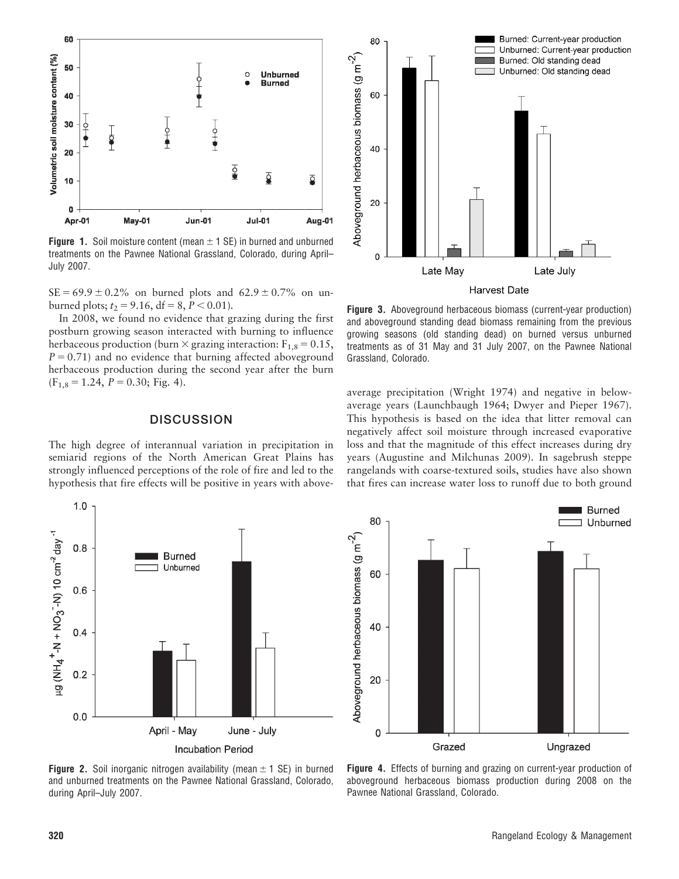

**Figure 1.** Soil moisture content (mean  $\pm$  1 SE) in burned and unburned treatments on the Pawnee National Grassland, Colorado, during April– July 2007.

 $SE = 69.9 \pm 0.2\%$  on burned plots and  $62.9 \pm 0.7\%$  on unburned plots;  $t_2 = 9.16$ , df = 8,  $P < 0.01$ ).

In 2008, we found no evidence that grazing during the first postburn growing season interacted with burning to influence herbaceous production (burn  $\times$  grazing interaction:  $F_{1,8} = 0.15$ ,  $P = 0.71$ ) and no evidence that burning affected aboveground herbaceous production during the second year after the burn  $(F<sub>1,8</sub> = 1.24, P = 0.30; Fig. 4).$ 

### **DISCUSSION**

The high degree of interannual variation in precipitation in semiarid regions of the North American Great Plains has strongly influenced perceptions of the role of fire and led to the hypothesis that fire effects will be positive in years with above-



Figure 3. Aboveground herbaceous biomass (current-year production) and aboveground standing dead biomass remaining from the previous growing seasons (old standing dead) on burned versus unburned treatments as of 31 May and 31 July 2007, on the Pawnee National Grassland, Colorado.

average precipitation (Wright 1974) and negative in belowaverage years (Launchbaugh 1964; Dwyer and Pieper 1967). This hypothesis is based on the idea that litter removal can negatively affect soil moisture through increased evaporative loss and that the magnitude of this effect increases during dry years (Augustine and Milchunas 2009). In sagebrush steppe rangelands with coarse-textured soils, studies have also shown that fires can increase water loss to runoff due to both ground





**Figure 2.** Soil inorganic nitrogen availability (mean  $\pm$  1 SE) in burned and unburned treatments on the Pawnee National Grassland, Colorado, during April–July 2007.

Figure 4. Effects of burning and grazing on current-year production of aboveground herbaceous biomass production during 2008 on the Pawnee National Grassland, Colorado.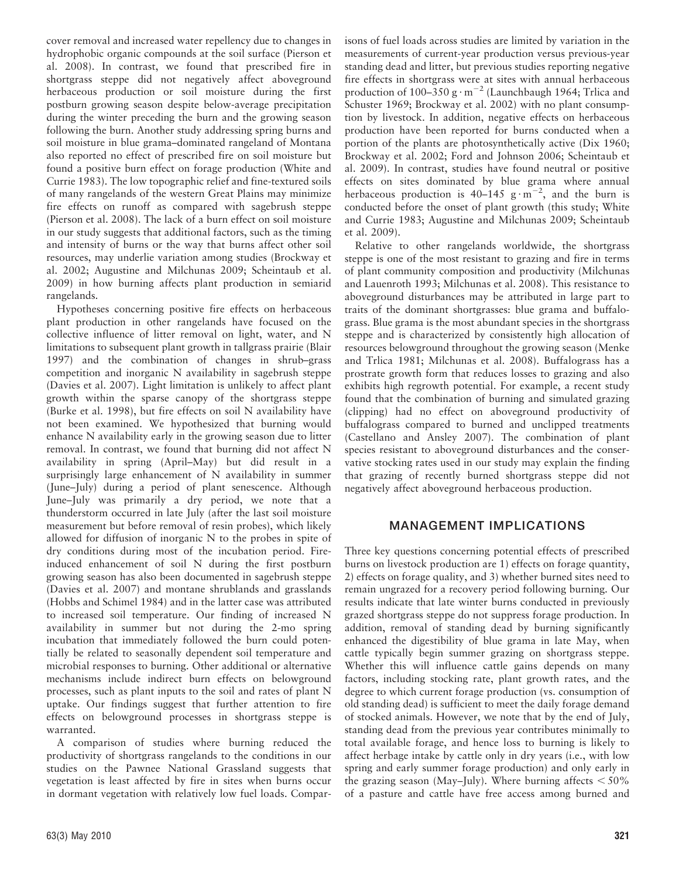cover removal and increased water repellency due to changes in hydrophobic organic compounds at the soil surface (Pierson et al. 2008). In contrast, we found that prescribed fire in shortgrass steppe did not negatively affect aboveground herbaceous production or soil moisture during the first postburn growing season despite below-average precipitation during the winter preceding the burn and the growing season following the burn. Another study addressing spring burns and soil moisture in blue grama–dominated rangeland of Montana also reported no effect of prescribed fire on soil moisture but found a positive burn effect on forage production (White and Currie 1983). The low topographic relief and fine-textured soils of many rangelands of the western Great Plains may minimize fire effects on runoff as compared with sagebrush steppe (Pierson et al. 2008). The lack of a burn effect on soil moisture in our study suggests that additional factors, such as the timing and intensity of burns or the way that burns affect other soil resources, may underlie variation among studies (Brockway et al. 2002; Augustine and Milchunas 2009; Scheintaub et al. 2009) in how burning affects plant production in semiarid rangelands.

Hypotheses concerning positive fire effects on herbaceous plant production in other rangelands have focused on the collective influence of litter removal on light, water, and N limitations to subsequent plant growth in tallgrass prairie (Blair 1997) and the combination of changes in shrub–grass competition and inorganic N availability in sagebrush steppe (Davies et al. 2007). Light limitation is unlikely to affect plant growth within the sparse canopy of the shortgrass steppe (Burke et al. 1998), but fire effects on soil N availability have not been examined. We hypothesized that burning would enhance N availability early in the growing season due to litter removal. In contrast, we found that burning did not affect N availability in spring (April–May) but did result in a surprisingly large enhancement of N availability in summer (June–July) during a period of plant senescence. Although June–July was primarily a dry period, we note that a thunderstorm occurred in late July (after the last soil moisture measurement but before removal of resin probes), which likely allowed for diffusion of inorganic N to the probes in spite of dry conditions during most of the incubation period. Fireinduced enhancement of soil N during the first postburn growing season has also been documented in sagebrush steppe (Davies et al. 2007) and montane shrublands and grasslands (Hobbs and Schimel 1984) and in the latter case was attributed to increased soil temperature. Our finding of increased N availability in summer but not during the 2-mo spring incubation that immediately followed the burn could potentially be related to seasonally dependent soil temperature and microbial responses to burning. Other additional or alternative mechanisms include indirect burn effects on belowground processes, such as plant inputs to the soil and rates of plant N uptake. Our findings suggest that further attention to fire effects on belowground processes in shortgrass steppe is warranted.

A comparison of studies where burning reduced the productivity of shortgrass rangelands to the conditions in our studies on the Pawnee National Grassland suggests that vegetation is least affected by fire in sites when burns occur in dormant vegetation with relatively low fuel loads. Comparisons of fuel loads across studies are limited by variation in the measurements of current-year production versus previous-year standing dead and litter, but previous studies reporting negative fire effects in shortgrass were at sites with annual herbaceous production of 100–350 g $\cdot$  m<sup>-2</sup> (Launchbaugh 1964; Trlica and Schuster 1969; Brockway et al. 2002) with no plant consumption by livestock. In addition, negative effects on herbaceous production have been reported for burns conducted when a portion of the plants are photosynthetically active (Dix 1960; Brockway et al. 2002; Ford and Johnson 2006; Scheintaub et al. 2009). In contrast, studies have found neutral or positive effects on sites dominated by blue grama where annual herbaceous production is  $40-145$  g·m<sup>-2</sup>, and the burn is conducted before the onset of plant growth (this study; White and Currie 1983; Augustine and Milchunas 2009; Scheintaub et al. 2009).

Relative to other rangelands worldwide, the shortgrass steppe is one of the most resistant to grazing and fire in terms of plant community composition and productivity (Milchunas and Lauenroth 1993; Milchunas et al. 2008). This resistance to aboveground disturbances may be attributed in large part to traits of the dominant shortgrasses: blue grama and buffalograss. Blue grama is the most abundant species in the shortgrass steppe and is characterized by consistently high allocation of resources belowground throughout the growing season (Menke and Trlica 1981; Milchunas et al. 2008). Buffalograss has a prostrate growth form that reduces losses to grazing and also exhibits high regrowth potential. For example, a recent study found that the combination of burning and simulated grazing (clipping) had no effect on aboveground productivity of buffalograss compared to burned and unclipped treatments (Castellano and Ansley 2007). The combination of plant species resistant to aboveground disturbances and the conservative stocking rates used in our study may explain the finding that grazing of recently burned shortgrass steppe did not negatively affect aboveground herbaceous production.

# MANAGEMENT IMPLICATIONS

Three key questions concerning potential effects of prescribed burns on livestock production are 1) effects on forage quantity, 2) effects on forage quality, and 3) whether burned sites need to remain ungrazed for a recovery period following burning. Our results indicate that late winter burns conducted in previously grazed shortgrass steppe do not suppress forage production. In addition, removal of standing dead by burning significantly enhanced the digestibility of blue grama in late May, when cattle typically begin summer grazing on shortgrass steppe. Whether this will influence cattle gains depends on many factors, including stocking rate, plant growth rates, and the degree to which current forage production (vs. consumption of old standing dead) is sufficient to meet the daily forage demand of stocked animals. However, we note that by the end of July, standing dead from the previous year contributes minimally to total available forage, and hence loss to burning is likely to affect herbage intake by cattle only in dry years (i.e., with low spring and early summer forage production) and only early in the grazing season (May–July). Where burning affects  $\leq 50\%$ of a pasture and cattle have free access among burned and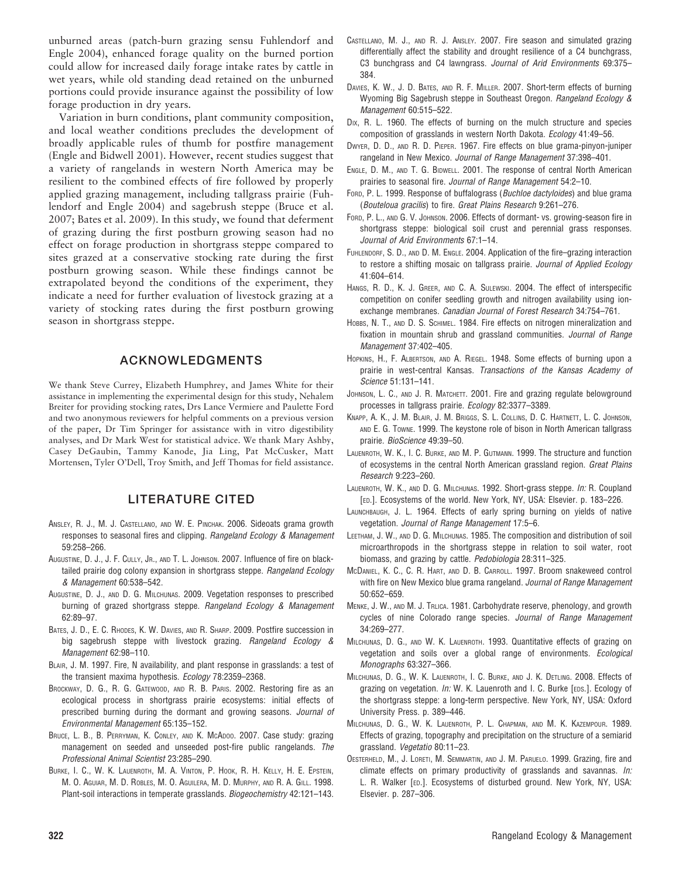unburned areas (patch-burn grazing sensu Fuhlendorf and Engle 2004), enhanced forage quality on the burned portion could allow for increased daily forage intake rates by cattle in wet years, while old standing dead retained on the unburned portions could provide insurance against the possibility of low forage production in dry years.

Variation in burn conditions, plant community composition, and local weather conditions precludes the development of broadly applicable rules of thumb for postfire management (Engle and Bidwell 2001). However, recent studies suggest that a variety of rangelands in western North America may be resilient to the combined effects of fire followed by properly applied grazing management, including tallgrass prairie (Fuhlendorf and Engle 2004) and sagebrush steppe (Bruce et al. 2007; Bates et al. 2009). In this study, we found that deferment of grazing during the first postburn growing season had no effect on forage production in shortgrass steppe compared to sites grazed at a conservative stocking rate during the first postburn growing season. While these findings cannot be extrapolated beyond the conditions of the experiment, they indicate a need for further evaluation of livestock grazing at a variety of stocking rates during the first postburn growing season in shortgrass steppe.

# ACKNOWLEDGMENTS

We thank Steve Currey, Elizabeth Humphrey, and James White for their assistance in implementing the experimental design for this study, Nehalem Breiter for providing stocking rates, Drs Lance Vermiere and Paulette Ford and two anonymous reviewers for helpful comments on a previous version of the paper, Dr Tim Springer for assistance with in vitro digestibility analyses, and Dr Mark West for statistical advice. We thank Mary Ashby, Casey DeGaubin, Tammy Kanode, Jia Ling, Pat McCusker, Matt Mortensen, Tyler O'Dell, Troy Smith, and Jeff Thomas for field assistance.

# LITERATURE CITED

- ANSLEY, R. J., M. J. CASTELLANO, AND W. E. PINCHAK. 2006. Sideoats grama growth responses to seasonal fires and clipping. Rangeland Ecology & Management 59:258–266.
- AUGUSTINE, D. J., J. F. CULLY, JR., AND T. L. JOHNSON. 2007. Influence of fire on blacktailed prairie dog colony expansion in shortgrass steppe. Rangeland Ecology & Management 60:538–542.
- AUGUSTINE, D. J., AND D. G. MILCHUNAS. 2009. Vegetation responses to prescribed burning of grazed shortgrass steppe. Rangeland Ecology & Management 62:89–97.
- BATES, J. D., E. C. RHODES, K. W. DAVIES, AND R. SHARP. 2009. Postfire succession in big sagebrush steppe with livestock grazing. Rangeland Ecology & Management 62:98–110.
- BLAIR, J. M. 1997. Fire, N availability, and plant response in grasslands: a test of the transient maxima hypothesis. Ecology 78:2359–2368.
- BROCKWAY, D. G., R. G. GATEWOOD, AND R. B. PARIS. 2002. Restoring fire as an ecological process in shortgrass prairie ecosystems: initial effects of prescribed burning during the dormant and growing seasons. Journal of Environmental Management 65:135–152.
- BRUCE, L. B., B. PERRYMAN, K. CONLEY, AND K. MCADOO. 2007. Case study: grazing management on seeded and unseeded post-fire public rangelands. The Professional Animal Scientist 23:285–290.
- BURKE, I. C., W. K. LAUENROTH, M. A. VINTON, P. HOOK, R. H. KELLY, H. E. EPSTEIN, M. O. AGUIAR, M. D. ROBLES, M. O. AGUILERA, M. D. MURPHY, AND R. A. GILL. 1998. Plant-soil interactions in temperate grasslands. Biogeochemistry 42:121–143.
- CASTELLANO, M. J., AND R. J. ANSLEY. 2007. Fire season and simulated grazing differentially affect the stability and drought resilience of a C4 bunchgrass, C3 bunchgrass and C4 lawngrass. Journal of Arid Environments 69:375– 384.
- DAVIES, K. W., J. D. BATES, AND R. F. MILLER. 2007. Short-term effects of burning Wyoming Big Sagebrush steppe in Southeast Oregon. Rangeland Ecology & Management 60:515–522.
- D<sub>IX</sub>, R. L. 1960. The effects of burning on the mulch structure and species composition of grasslands in western North Dakota. Ecology 41:49-56.
- DWYER, D. D., AND R. D. PIEPER. 1967. Fire effects on blue grama-pinyon-juniper rangeland in New Mexico. Journal of Range Management 37:398–401.
- ENGLE, D. M., AND T. G. BIDWELL. 2001. The response of central North American prairies to seasonal fire. Journal of Range Management 54:2–10.
- FORD, P. L. 1999. Response of buffalograss (Buchloe dactyloides) and blue grama (Bouteloua gracilis) to fire. Great Plains Research 9:261–276.
- FORD, P. L., AND G. V. JOHNSON. 2006. Effects of dormant- vs. growing-season fire in shortgrass steppe: biological soil crust and perennial grass responses. Journal of Arid Environments 67:1–14.
- FUHLENDORF, S. D., AND D. M. ENGLE. 2004. Application of the fire–grazing interaction to restore a shifting mosaic on tallgrass prairie. Journal of Applied Ecology 41:604–614.
- HANGS, R. D., K. J. GREER, AND C. A. SULEWSKI. 2004. The effect of interspecific competition on conifer seedling growth and nitrogen availability using ionexchange membranes. Canadian Journal of Forest Research 34:754–761.
- HOBBS, N. T., AND D. S. SCHIMEL. 1984. Fire effects on nitrogen mineralization and fixation in mountain shrub and grassland communities. Journal of Range Management 37:402–405.
- HOPKINS, H., F. ALBERTSON, AND A. RIEGEL. 1948. Some effects of burning upon a prairie in west-central Kansas. Transactions of the Kansas Academy of Science 51:131–141.
- JOHNSON, L. C., AND J. R. MATCHETT. 2001. Fire and grazing regulate belowground processes in tallgrass prairie. Ecology 82:3377–3389.
- KNAPP, A. K., J. M. BLAIR, J. M. BRIGGS, S. L. COLLINS, D. C. HARTNETT, L. C. JOHNSON, AND E. G. TOWNE. 1999. The keystone role of bison in North American tallgrass prairie. BioScience 49:39–50.
- LAUENROTH, W. K., I. C. BURKE, AND M. P. GUTMANN. 1999. The structure and function of ecosystems in the central North American grassland region. Great Plains Research 9:223–260.
- LAUENROTH, W. K., AND D. G. MILCHUNAS. 1992. Short-grass steppe. In: R. Coupland [ED.]. Ecosystems of the world. New York, NY, USA: Elsevier. p. 183–226.
- LAUNCHBAUGH, J. L. 1964. Effects of early spring burning on yields of native vegetation. Journal of Range Management 17:5–6.
- LEETHAM, J. W., AND D. G. MILCHUNAS. 1985. The composition and distribution of soil microarthropods in the shortgrass steppe in relation to soil water, root biomass, and grazing by cattle. Pedobiologia 28:311–325.
- MCDANIEL, K. C., C. R. HART, AND D. B. CARROLL. 1997. Broom snakeweed control with fire on New Mexico blue grama rangeland. Journal of Range Management 50:652–659.
- MENKE, J. W., AND M. J. TRLICA. 1981. Carbohydrate reserve, phenology, and growth cycles of nine Colorado range species. Journal of Range Management 34:269–277.
- MILCHUNAS, D. G., AND W. K. LAUENROTH. 1993. Quantitative effects of grazing on vegetation and soils over a global range of environments. Ecological Monographs 63:327–366.
- MILCHUNAS, D. G., W. K. LAUENROTH, I. C. BURKE, AND J. K. DETLING. 2008. Effects of grazing on vegetation. In: W. K. Lauenroth and I. C. Burke [EDS.]. Ecology of the shortgrass steppe: a long-term perspective. New York, NY, USA: Oxford University Press. p. 389–446.
- MILCHUNAS, D. G., W. K. LAUENROTH, P. L. CHAPMAN, AND M. K. KAZEMPOUR. 1989. Effects of grazing, topography and precipitation on the structure of a semiarid grassland. Vegetatio 80:11–23.
- OESTERHELD, M., J. LORETI, M. SEMMARTIN, AND J. M. PARUELO. 1999. Grazing, fire and climate effects on primary productivity of grasslands and savannas. In: L. R. Walker [ED.]. Ecosystems of disturbed ground. New York, NY, USA: Elsevier. p. 287–306.